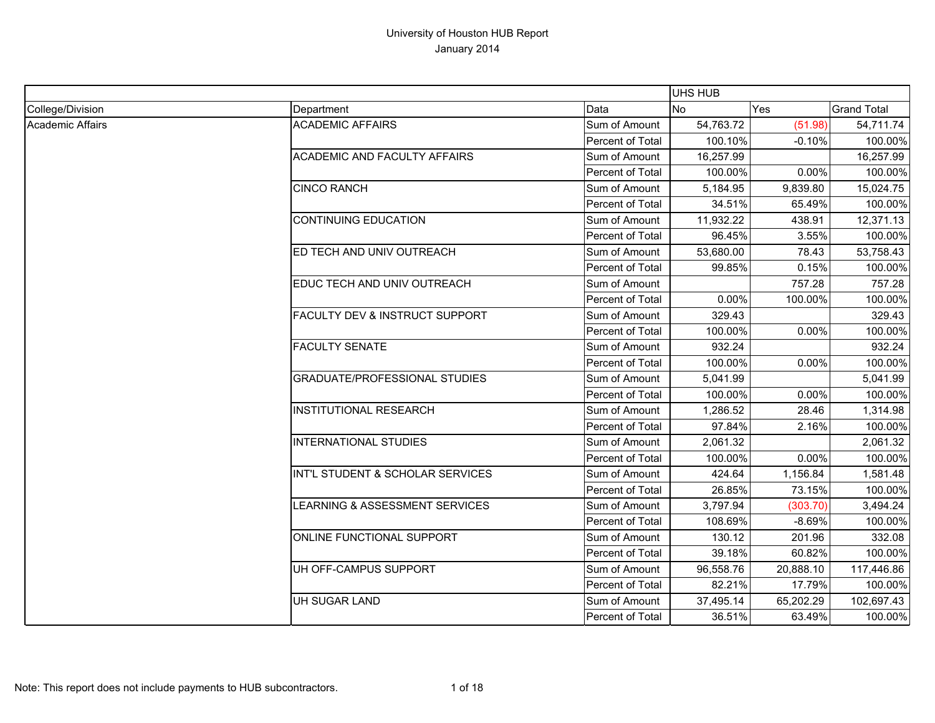|                  |                                           |                  | UHS HUB   |           |                    |
|------------------|-------------------------------------------|------------------|-----------|-----------|--------------------|
| College/Division | Department                                | Data             | <b>No</b> | Yes       | <b>Grand Total</b> |
| Academic Affairs | <b>ACADEMIC AFFAIRS</b>                   | Sum of Amount    | 54,763.72 | (51.98)   | 54,711.74          |
|                  |                                           | Percent of Total | 100.10%   | $-0.10%$  | 100.00%            |
|                  | <b>ACADEMIC AND FACULTY AFFAIRS</b>       | Sum of Amount    | 16,257.99 |           | 16,257.99          |
|                  |                                           | Percent of Total | 100.00%   | 0.00%     | 100.00%            |
|                  | <b>CINCO RANCH</b>                        | Sum of Amount    | 5,184.95  | 9,839.80  | 15,024.75          |
|                  |                                           | Percent of Total | 34.51%    | 65.49%    | 100.00%            |
|                  | <b>CONTINUING EDUCATION</b>               | Sum of Amount    | 11,932.22 | 438.91    | 12,371.13          |
|                  |                                           | Percent of Total | 96.45%    | 3.55%     | 100.00%            |
|                  | ED TECH AND UNIV OUTREACH                 | Sum of Amount    | 53,680.00 | 78.43     | 53,758.43          |
|                  |                                           | Percent of Total | 99.85%    | 0.15%     | 100.00%            |
|                  | EDUC TECH AND UNIV OUTREACH               | Sum of Amount    |           | 757.28    | 757.28             |
|                  |                                           | Percent of Total | 0.00%     | 100.00%   | 100.00%            |
|                  | <b>FACULTY DEV &amp; INSTRUCT SUPPORT</b> | Sum of Amount    | 329.43    |           | 329.43             |
|                  |                                           | Percent of Total | 100.00%   | 0.00%     | 100.00%            |
|                  | <b>FACULTY SENATE</b>                     | Sum of Amount    | 932.24    |           | 932.24             |
|                  |                                           | Percent of Total | 100.00%   | 0.00%     | 100.00%            |
|                  | <b>GRADUATE/PROFESSIONAL STUDIES</b>      | Sum of Amount    | 5,041.99  |           | 5,041.99           |
|                  |                                           | Percent of Total | 100.00%   | 0.00%     | 100.00%            |
|                  | <b>INSTITUTIONAL RESEARCH</b>             | Sum of Amount    | 1,286.52  | 28.46     | 1,314.98           |
|                  |                                           | Percent of Total | 97.84%    | 2.16%     | 100.00%            |
|                  | <b>INTERNATIONAL STUDIES</b>              | Sum of Amount    | 2,061.32  |           | 2,061.32           |
|                  |                                           | Percent of Total | 100.00%   | 0.00%     | 100.00%            |
|                  | INT'L STUDENT & SCHOLAR SERVICES          | Sum of Amount    | 424.64    | 1,156.84  | 1,581.48           |
|                  |                                           | Percent of Total | 26.85%    | 73.15%    | 100.00%            |
|                  | LEARNING & ASSESSMENT SERVICES            | Sum of Amount    | 3,797.94  | (303.70)  | 3,494.24           |
|                  |                                           | Percent of Total | 108.69%   | $-8.69%$  | 100.00%            |
|                  | ONLINE FUNCTIONAL SUPPORT                 | Sum of Amount    | 130.12    | 201.96    | 332.08             |
|                  |                                           | Percent of Total | 39.18%    | 60.82%    | 100.00%            |
|                  | UH OFF-CAMPUS SUPPORT                     | Sum of Amount    | 96,558.76 | 20,888.10 | 117,446.86         |
|                  |                                           | Percent of Total | 82.21%    | 17.79%    | 100.00%            |
|                  | <b>UH SUGAR LAND</b>                      | Sum of Amount    | 37,495.14 | 65,202.29 | 102,697.43         |
|                  |                                           | Percent of Total | 36.51%    | 63.49%    | 100.00%            |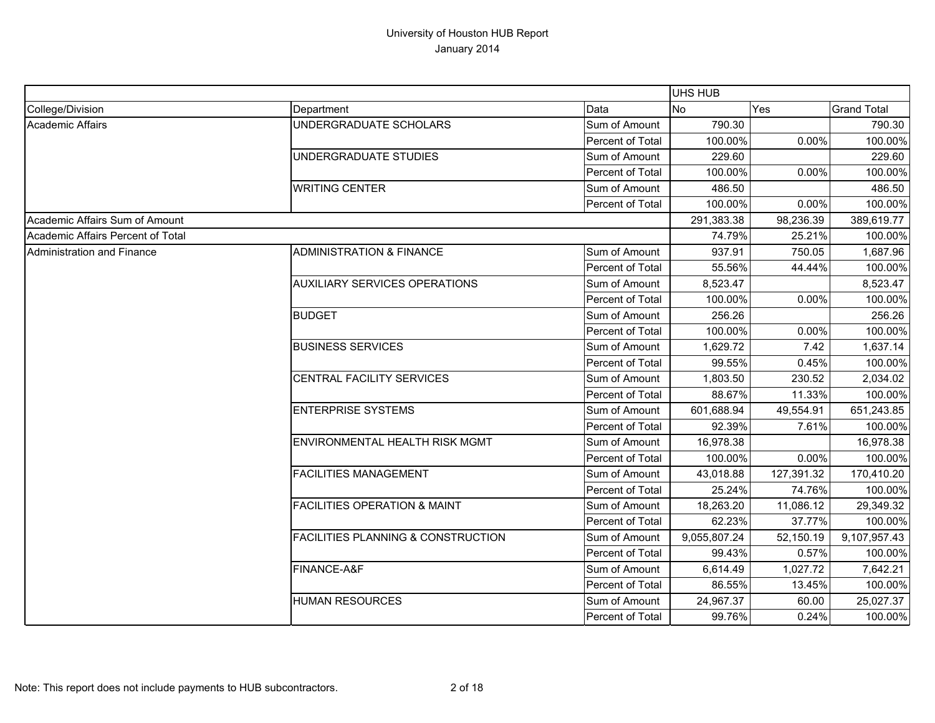|                                   |                                               |                  | UHS HUB      |            |                    |
|-----------------------------------|-----------------------------------------------|------------------|--------------|------------|--------------------|
| College/Division                  | Department                                    | Data             | <b>No</b>    | Yes        | <b>Grand Total</b> |
| Academic Affairs                  | UNDERGRADUATE SCHOLARS                        | Sum of Amount    | 790.30       |            | 790.30             |
|                                   |                                               | Percent of Total | 100.00%      | 0.00%      | 100.00%            |
|                                   | UNDERGRADUATE STUDIES                         | Sum of Amount    | 229.60       |            | 229.60             |
|                                   |                                               | Percent of Total | 100.00%      | 0.00%      | 100.00%            |
|                                   | <b>WRITING CENTER</b>                         | Sum of Amount    | 486.50       |            | 486.50             |
|                                   |                                               | Percent of Total | 100.00%      | 0.00%      | 100.00%            |
| Academic Affairs Sum of Amount    |                                               |                  | 291,383.38   | 98,236.39  | 389,619.77         |
| Academic Affairs Percent of Total |                                               |                  | 74.79%       | 25.21%     | 100.00%            |
| Administration and Finance        | <b>ADMINISTRATION &amp; FINANCE</b>           | Sum of Amount    | 937.91       | 750.05     | 1,687.96           |
|                                   |                                               | Percent of Total | 55.56%       | 44.44%     | 100.00%            |
|                                   | <b>AUXILIARY SERVICES OPERATIONS</b>          | Sum of Amount    | 8,523.47     |            | 8,523.47           |
|                                   |                                               | Percent of Total | 100.00%      | 0.00%      | 100.00%            |
|                                   | <b>BUDGET</b>                                 | Sum of Amount    | 256.26       |            | 256.26             |
|                                   |                                               | Percent of Total | 100.00%      | 0.00%      | 100.00%            |
|                                   | <b>BUSINESS SERVICES</b>                      | Sum of Amount    | 1,629.72     | 7.42       | 1,637.14           |
|                                   |                                               | Percent of Total | 99.55%       | 0.45%      | 100.00%            |
|                                   | CENTRAL FACILITY SERVICES                     | Sum of Amount    | 1,803.50     | 230.52     | 2,034.02           |
|                                   |                                               | Percent of Total | 88.67%       | 11.33%     | 100.00%            |
|                                   | <b>ENTERPRISE SYSTEMS</b>                     | Sum of Amount    | 601,688.94   | 49,554.91  | 651,243.85         |
|                                   |                                               | Percent of Total | 92.39%       | 7.61%      | 100.00%            |
|                                   | ENVIRONMENTAL HEALTH RISK MGMT                | Sum of Amount    | 16,978.38    |            | 16,978.38          |
|                                   |                                               | Percent of Total | 100.00%      | 0.00%      | 100.00%            |
|                                   | <b>FACILITIES MANAGEMENT</b>                  | Sum of Amount    | 43,018.88    | 127,391.32 | 170,410.20         |
|                                   |                                               | Percent of Total | 25.24%       | 74.76%     | 100.00%            |
|                                   | <b>FACILITIES OPERATION &amp; MAINT</b>       | Sum of Amount    | 18,263.20    | 11,086.12  | 29,349.32          |
|                                   |                                               | Percent of Total | 62.23%       | 37.77%     | 100.00%            |
|                                   | <b>FACILITIES PLANNING &amp; CONSTRUCTION</b> | Sum of Amount    | 9,055,807.24 | 52,150.19  | 9,107,957.43       |
|                                   |                                               | Percent of Total | 99.43%       | 0.57%      | 100.00%            |
|                                   | FINANCE-A&F                                   | Sum of Amount    | 6,614.49     | 1,027.72   | 7,642.21           |
|                                   |                                               | Percent of Total | 86.55%       | 13.45%     | 100.00%            |
|                                   | <b>HUMAN RESOURCES</b>                        | Sum of Amount    | 24,967.37    | 60.00      | 25,027.37          |
|                                   |                                               | Percent of Total | 99.76%       | 0.24%      | 100.00%            |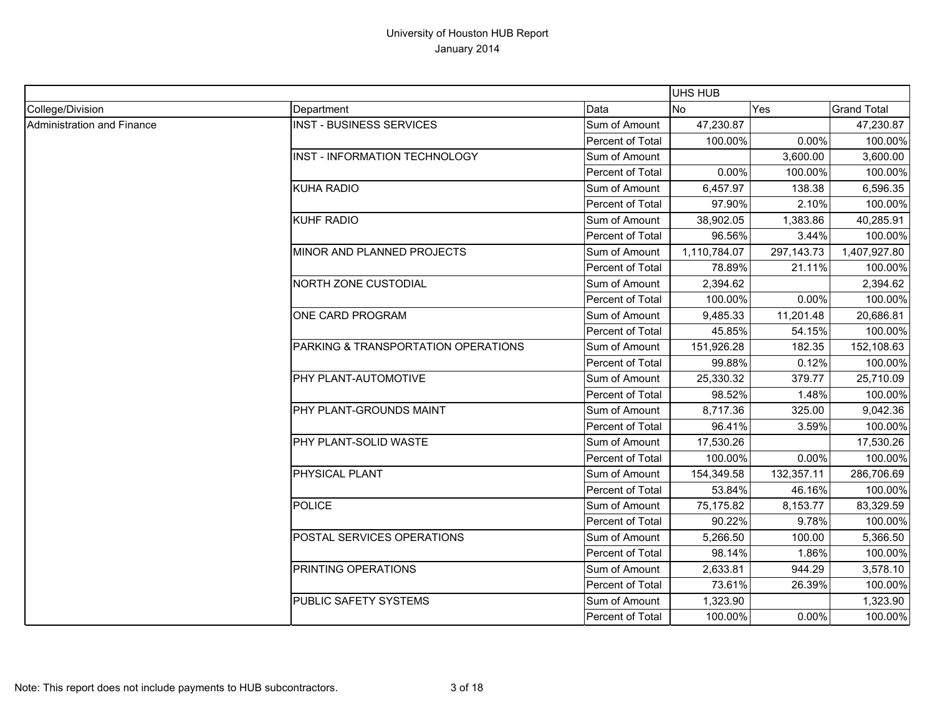|                            |                                      |                  | <b>UHS HUB</b> |              |                    |
|----------------------------|--------------------------------------|------------------|----------------|--------------|--------------------|
| College/Division           | Department                           | Data             | <b>No</b>      | Yes          | <b>Grand Total</b> |
| Administration and Finance | <b>INST - BUSINESS SERVICES</b>      | Sum of Amount    | 47,230.87      |              | 47,230.87          |
|                            |                                      | Percent of Total | 100.00%        | 0.00%        | 100.00%            |
|                            | <b>INST - INFORMATION TECHNOLOGY</b> | Sum of Amount    |                | 3,600.00     | 3,600.00           |
|                            |                                      | Percent of Total | 0.00%          | 100.00%      | 100.00%            |
|                            | <b>KUHA RADIO</b>                    | Sum of Amount    | 6,457.97       | 138.38       | 6,596.35           |
|                            |                                      | Percent of Total | 97.90%         | 2.10%        | 100.00%            |
|                            | <b>KUHF RADIO</b>                    | Sum of Amount    | 38,902.05      | 1,383.86     | 40,285.91          |
|                            |                                      | Percent of Total | 96.56%         | 3.44%        | 100.00%            |
|                            | MINOR AND PLANNED PROJECTS           | Sum of Amount    | 1,110,784.07   | 297, 143. 73 | 1,407,927.80       |
|                            |                                      | Percent of Total | 78.89%         | 21.11%       | 100.00%            |
|                            | NORTH ZONE CUSTODIAL                 | Sum of Amount    | 2,394.62       |              | 2,394.62           |
|                            |                                      | Percent of Total | 100.00%        | 0.00%        | 100.00%            |
|                            | ONE CARD PROGRAM                     | Sum of Amount    | 9,485.33       | 11,201.48    | 20,686.81          |
|                            |                                      | Percent of Total | 45.85%         | 54.15%       | 100.00%            |
|                            | PARKING & TRANSPORTATION OPERATIONS  | Sum of Amount    | 151,926.28     | 182.35       | 152,108.63         |
|                            |                                      | Percent of Total | 99.88%         | 0.12%        | 100.00%            |
|                            | PHY PLANT-AUTOMOTIVE                 | Sum of Amount    | 25,330.32      | 379.77       | 25,710.09          |
|                            |                                      | Percent of Total | 98.52%         | 1.48%        | 100.00%            |
|                            | PHY PLANT-GROUNDS MAINT              | Sum of Amount    | 8,717.36       | 325.00       | 9,042.36           |
|                            |                                      | Percent of Total | 96.41%         | 3.59%        | 100.00%            |
|                            | PHY PLANT-SOLID WASTE                | Sum of Amount    | 17,530.26      |              | 17,530.26          |
|                            |                                      | Percent of Total | 100.00%        | 0.00%        | 100.00%            |
|                            | PHYSICAL PLANT                       | Sum of Amount    | 154,349.58     | 132,357.11   | 286,706.69         |
|                            |                                      | Percent of Total | 53.84%         | 46.16%       | 100.00%            |
|                            | <b>POLICE</b>                        | Sum of Amount    | 75,175.82      | 8,153.77     | 83,329.59          |
|                            |                                      | Percent of Total | 90.22%         | 9.78%        | 100.00%            |
|                            | POSTAL SERVICES OPERATIONS           | Sum of Amount    | 5,266.50       | 100.00       | 5,366.50           |
|                            |                                      | Percent of Total | 98.14%         | 1.86%        | 100.00%            |
|                            | PRINTING OPERATIONS                  | Sum of Amount    | 2,633.81       | 944.29       | 3,578.10           |
|                            |                                      | Percent of Total | 73.61%         | 26.39%       | 100.00%            |
|                            | PUBLIC SAFETY SYSTEMS                | Sum of Amount    | 1,323.90       |              | 1,323.90           |
|                            |                                      | Percent of Total | 100.00%        | 0.00%        | 100.00%            |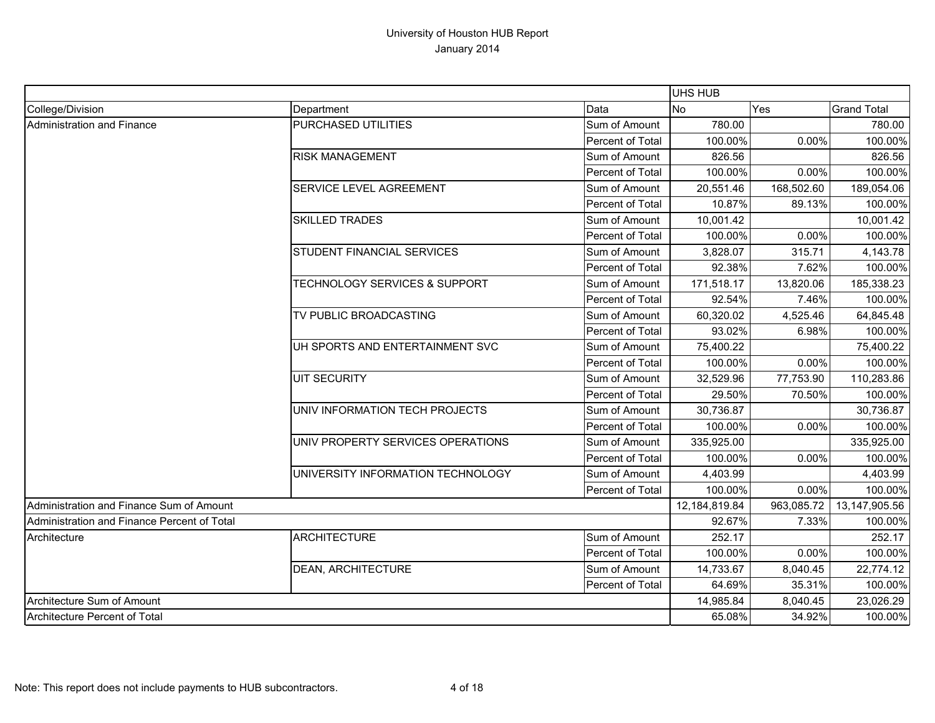|                                             |                                          |                  | <b>UHS HUB</b> |            |                    |
|---------------------------------------------|------------------------------------------|------------------|----------------|------------|--------------------|
| College/Division                            | Department                               | Data             | <b>No</b>      | Yes        | <b>Grand Total</b> |
| Administration and Finance                  | PURCHASED UTILITIES                      | Sum of Amount    | 780.00         |            | 780.00             |
|                                             |                                          | Percent of Total | 100.00%        | 0.00%      | 100.00%            |
|                                             | <b>RISK MANAGEMENT</b>                   | Sum of Amount    | 826.56         |            | 826.56             |
|                                             |                                          | Percent of Total | 100.00%        | 0.00%      | 100.00%            |
|                                             | SERVICE LEVEL AGREEMENT                  | Sum of Amount    | 20,551.46      | 168,502.60 | 189,054.06         |
|                                             |                                          | Percent of Total | 10.87%         | 89.13%     | 100.00%            |
|                                             | <b>SKILLED TRADES</b>                    | Sum of Amount    | 10,001.42      |            | 10,001.42          |
|                                             |                                          | Percent of Total | 100.00%        | 0.00%      | 100.00%            |
|                                             | STUDENT FINANCIAL SERVICES               | Sum of Amount    | 3,828.07       | 315.71     | 4,143.78           |
|                                             |                                          | Percent of Total | 92.38%         | 7.62%      | 100.00%            |
|                                             | <b>TECHNOLOGY SERVICES &amp; SUPPORT</b> | Sum of Amount    | 171,518.17     | 13,820.06  | 185,338.23         |
|                                             |                                          | Percent of Total | 92.54%         | 7.46%      | 100.00%            |
|                                             | TV PUBLIC BROADCASTING                   | Sum of Amount    | 60,320.02      | 4,525.46   | 64,845.48          |
|                                             |                                          | Percent of Total | 93.02%         | 6.98%      | 100.00%            |
|                                             | UH SPORTS AND ENTERTAINMENT SVC          | Sum of Amount    | 75,400.22      |            | 75,400.22          |
|                                             |                                          | Percent of Total | 100.00%        | 0.00%      | 100.00%            |
|                                             | <b>UIT SECURITY</b>                      | Sum of Amount    | 32,529.96      | 77,753.90  | 110,283.86         |
|                                             |                                          | Percent of Total | 29.50%         | 70.50%     | 100.00%            |
|                                             | UNIV INFORMATION TECH PROJECTS           | Sum of Amount    | 30,736.87      |            | 30,736.87          |
|                                             |                                          | Percent of Total | 100.00%        | 0.00%      | 100.00%            |
|                                             | UNIV PROPERTY SERVICES OPERATIONS        | Sum of Amount    | 335,925.00     |            | 335,925.00         |
|                                             |                                          | Percent of Total | 100.00%        | 0.00%      | 100.00%            |
|                                             | UNIVERSITY INFORMATION TECHNOLOGY        | Sum of Amount    | 4,403.99       |            | 4,403.99           |
|                                             |                                          | Percent of Total | 100.00%        | 0.00%      | 100.00%            |
| Administration and Finance Sum of Amount    |                                          |                  | 12,184,819.84  | 963,085.72 | 13,147,905.56      |
| Administration and Finance Percent of Total |                                          |                  | 92.67%         | 7.33%      | 100.00%            |
| Architecture                                | <b>ARCHITECTURE</b>                      | Sum of Amount    | 252.17         |            | 252.17             |
|                                             |                                          | Percent of Total | 100.00%        | 0.00%      | 100.00%            |
|                                             | <b>DEAN, ARCHITECTURE</b>                | Sum of Amount    | 14,733.67      | 8,040.45   | 22,774.12          |
|                                             |                                          | Percent of Total | 64.69%         | 35.31%     | 100.00%            |
| Architecture Sum of Amount                  |                                          |                  | 14,985.84      | 8,040.45   | 23,026.29          |
| Architecture Percent of Total               |                                          | 65.08%           | 34.92%         | 100.00%    |                    |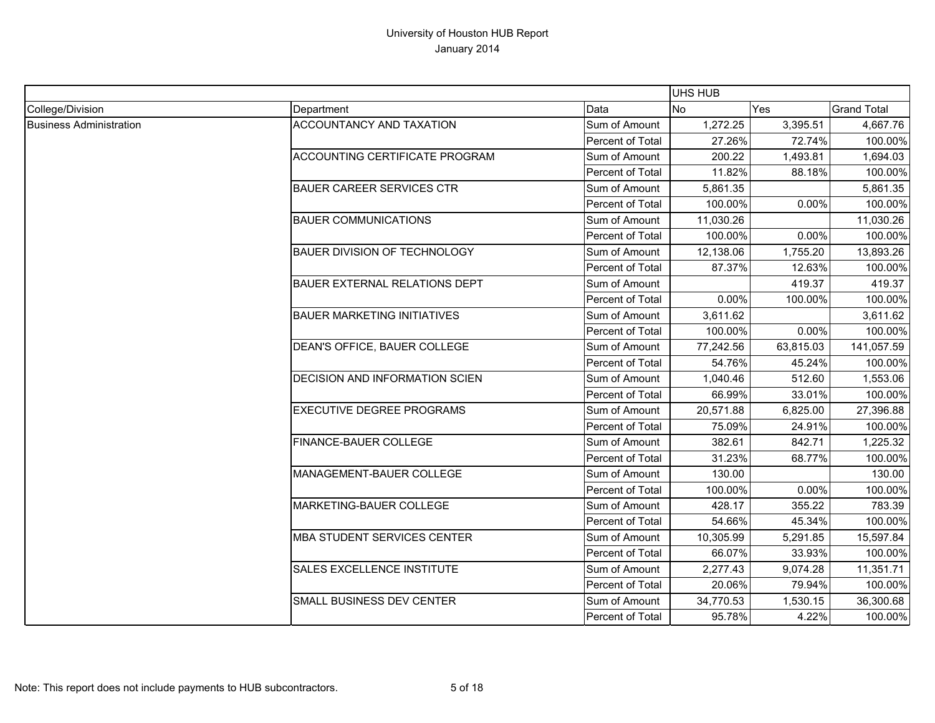|                                |                                       |                  | UHS HUB   |           |                    |
|--------------------------------|---------------------------------------|------------------|-----------|-----------|--------------------|
| College/Division               | Department                            | Data             | <b>No</b> | Yes       | <b>Grand Total</b> |
| <b>Business Administration</b> | ACCOUNTANCY AND TAXATION              | Sum of Amount    | 1,272.25  | 3,395.51  | 4,667.76           |
|                                |                                       | Percent of Total | 27.26%    | 72.74%    | 100.00%            |
|                                | ACCOUNTING CERTIFICATE PROGRAM        | Sum of Amount    | 200.22    | 1,493.81  | 1,694.03           |
|                                |                                       | Percent of Total | 11.82%    | 88.18%    | 100.00%            |
|                                | <b>BAUER CAREER SERVICES CTR</b>      | Sum of Amount    | 5,861.35  |           | 5,861.35           |
|                                |                                       | Percent of Total | 100.00%   | 0.00%     | 100.00%            |
|                                | <b>BAUER COMMUNICATIONS</b>           | Sum of Amount    | 11,030.26 |           | 11,030.26          |
|                                |                                       | Percent of Total | 100.00%   | 0.00%     | 100.00%            |
|                                | <b>BAUER DIVISION OF TECHNOLOGY</b>   | Sum of Amount    | 12,138.06 | 1,755.20  | 13,893.26          |
|                                |                                       | Percent of Total | 87.37%    | 12.63%    | 100.00%            |
|                                | <b>BAUER EXTERNAL RELATIONS DEPT</b>  | Sum of Amount    |           | 419.37    | 419.37             |
|                                |                                       | Percent of Total | 0.00%     | 100.00%   | 100.00%            |
|                                | <b>BAUER MARKETING INITIATIVES</b>    | Sum of Amount    | 3,611.62  |           | 3,611.62           |
|                                |                                       | Percent of Total | 100.00%   | 0.00%     | 100.00%            |
|                                | DEAN'S OFFICE, BAUER COLLEGE          | Sum of Amount    | 77,242.56 | 63,815.03 | 141,057.59         |
|                                |                                       | Percent of Total | 54.76%    | 45.24%    | 100.00%            |
|                                | <b>DECISION AND INFORMATION SCIEN</b> | Sum of Amount    | 1,040.46  | 512.60    | 1,553.06           |
|                                |                                       | Percent of Total | 66.99%    | 33.01%    | 100.00%            |
|                                | <b>EXECUTIVE DEGREE PROGRAMS</b>      | Sum of Amount    | 20,571.88 | 6,825.00  | 27,396.88          |
|                                |                                       | Percent of Total | 75.09%    | 24.91%    | 100.00%            |
|                                | <b>FINANCE-BAUER COLLEGE</b>          | Sum of Amount    | 382.61    | 842.71    | 1,225.32           |
|                                |                                       | Percent of Total | 31.23%    | 68.77%    | 100.00%            |
|                                | MANAGEMENT-BAUER COLLEGE              | Sum of Amount    | 130.00    |           | 130.00             |
|                                |                                       | Percent of Total | 100.00%   | 0.00%     | 100.00%            |
|                                | MARKETING-BAUER COLLEGE               | Sum of Amount    | 428.17    | 355.22    | 783.39             |
|                                |                                       | Percent of Total | 54.66%    | 45.34%    | 100.00%            |
|                                | <b>MBA STUDENT SERVICES CENTER</b>    | Sum of Amount    | 10,305.99 | 5,291.85  | 15,597.84          |
|                                |                                       | Percent of Total | 66.07%    | 33.93%    | 100.00%            |
|                                | SALES EXCELLENCE INSTITUTE            | Sum of Amount    | 2,277.43  | 9,074.28  | 11,351.71          |
|                                |                                       | Percent of Total | 20.06%    | 79.94%    | 100.00%            |
|                                | SMALL BUSINESS DEV CENTER             | Sum of Amount    | 34,770.53 | 1,530.15  | 36,300.68          |
|                                |                                       | Percent of Total | 95.78%    | 4.22%     | 100.00%            |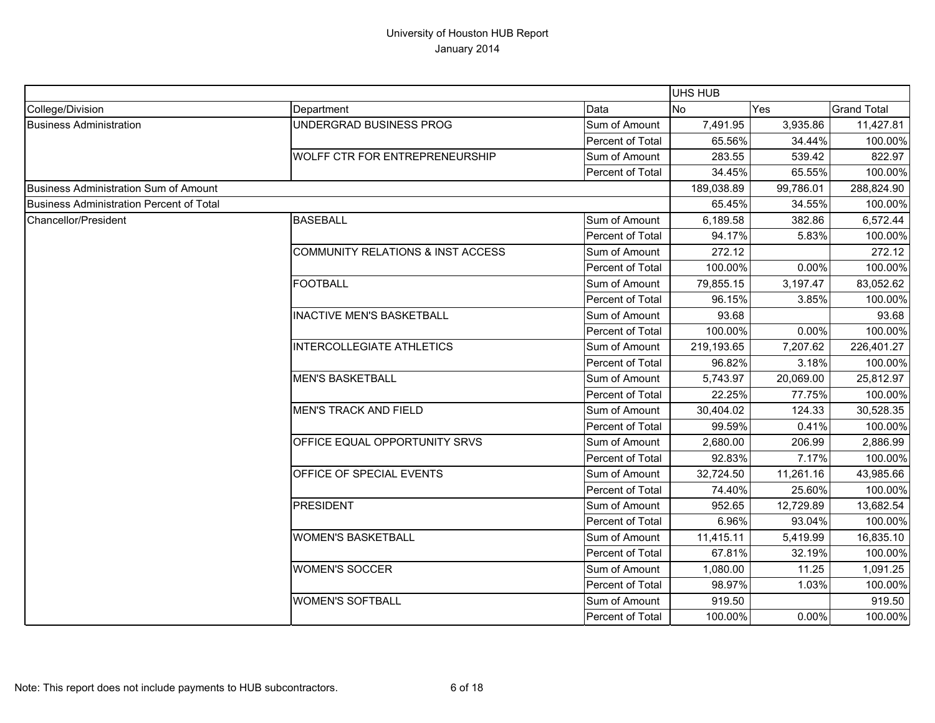|                                                 |                                   |                  | <b>UHS HUB</b> |           |                    |
|-------------------------------------------------|-----------------------------------|------------------|----------------|-----------|--------------------|
| College/Division                                | Department                        | Data             | <b>No</b>      | Yes       | <b>Grand Total</b> |
| <b>Business Administration</b>                  | UNDERGRAD BUSINESS PROG           | Sum of Amount    | 7,491.95       | 3,935.86  | 11,427.81          |
|                                                 |                                   | Percent of Total | 65.56%         | 34.44%    | 100.00%            |
|                                                 | WOLFF CTR FOR ENTREPRENEURSHIP    | Sum of Amount    | 283.55         | 539.42    | 822.97             |
|                                                 |                                   | Percent of Total | 34.45%         | 65.55%    | 100.00%            |
| <b>Business Administration Sum of Amount</b>    |                                   |                  | 189,038.89     | 99,786.01 | 288,824.90         |
| <b>Business Administration Percent of Total</b> |                                   |                  | 65.45%         | 34.55%    | 100.00%            |
| Chancellor/President                            | <b>BASEBALL</b>                   | Sum of Amount    | 6,189.58       | 382.86    | 6,572.44           |
|                                                 |                                   | Percent of Total | 94.17%         | 5.83%     | 100.00%            |
|                                                 | COMMUNITY RELATIONS & INST ACCESS | Sum of Amount    | 272.12         |           | 272.12             |
|                                                 |                                   | Percent of Total | 100.00%        | 0.00%     | 100.00%            |
|                                                 | <b>FOOTBALL</b>                   | Sum of Amount    | 79,855.15      | 3,197.47  | 83,052.62          |
|                                                 |                                   | Percent of Total | 96.15%         | 3.85%     | 100.00%            |
|                                                 | <b>INACTIVE MEN'S BASKETBALL</b>  | Sum of Amount    | 93.68          |           | 93.68              |
|                                                 |                                   | Percent of Total | 100.00%        | 0.00%     | 100.00%            |
|                                                 | <b>INTERCOLLEGIATE ATHLETICS</b>  | Sum of Amount    | 219,193.65     | 7,207.62  | 226,401.27         |
|                                                 |                                   | Percent of Total | 96.82%         | 3.18%     | 100.00%            |
|                                                 | <b>MEN'S BASKETBALL</b>           | Sum of Amount    | 5,743.97       | 20,069.00 | 25,812.97          |
|                                                 |                                   | Percent of Total | 22.25%         | 77.75%    | 100.00%            |
|                                                 | <b>MEN'S TRACK AND FIELD</b>      | Sum of Amount    | 30,404.02      | 124.33    | 30,528.35          |
|                                                 |                                   | Percent of Total | 99.59%         | 0.41%     | 100.00%            |
|                                                 | OFFICE EQUAL OPPORTUNITY SRVS     | Sum of Amount    | 2,680.00       | 206.99    | 2,886.99           |
|                                                 |                                   | Percent of Total | 92.83%         | 7.17%     | 100.00%            |
|                                                 | OFFICE OF SPECIAL EVENTS          | Sum of Amount    | 32,724.50      | 11,261.16 | 43,985.66          |
|                                                 |                                   | Percent of Total | 74.40%         | 25.60%    | 100.00%            |
|                                                 | <b>PRESIDENT</b>                  | Sum of Amount    | 952.65         | 12,729.89 | 13,682.54          |
|                                                 |                                   | Percent of Total | 6.96%          | 93.04%    | 100.00%            |
|                                                 | <b>WOMEN'S BASKETBALL</b>         | Sum of Amount    | 11,415.11      | 5,419.99  | 16,835.10          |
|                                                 |                                   | Percent of Total | 67.81%         | 32.19%    | 100.00%            |
|                                                 | <b>WOMEN'S SOCCER</b>             | Sum of Amount    | 1,080.00       | 11.25     | 1,091.25           |
|                                                 |                                   | Percent of Total | 98.97%         | 1.03%     | 100.00%            |
|                                                 | <b>WOMEN'S SOFTBALL</b>           | Sum of Amount    | 919.50         |           | 919.50             |
|                                                 |                                   | Percent of Total | 100.00%        | 0.00%     | 100.00%            |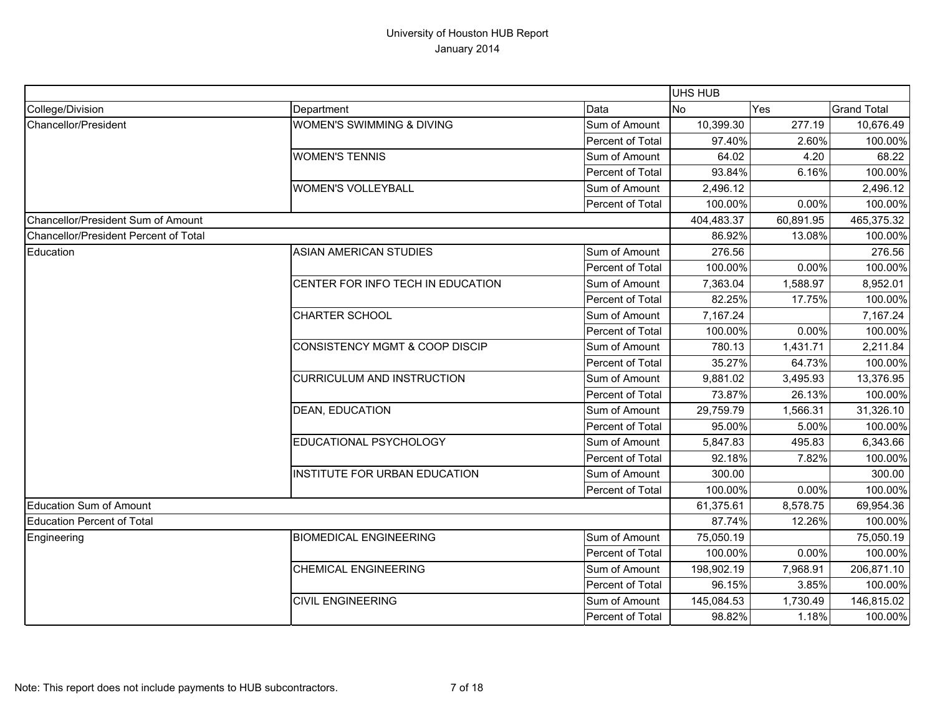|                                       |                                      |                  | <b>UHS HUB</b> |           |                    |
|---------------------------------------|--------------------------------------|------------------|----------------|-----------|--------------------|
| College/Division                      | Department                           | Data             | <b>No</b>      | Yes       | <b>Grand Total</b> |
| Chancellor/President                  | <b>WOMEN'S SWIMMING &amp; DIVING</b> | Sum of Amount    | 10,399.30      | 277.19    | 10,676.49          |
|                                       |                                      | Percent of Total | 97.40%         | 2.60%     | 100.00%            |
|                                       | <b>WOMEN'S TENNIS</b>                | Sum of Amount    | 64.02          | 4.20      | 68.22              |
|                                       |                                      | Percent of Total | 93.84%         | 6.16%     | 100.00%            |
|                                       | <b>WOMEN'S VOLLEYBALL</b>            | Sum of Amount    | 2,496.12       |           | 2,496.12           |
|                                       |                                      | Percent of Total | 100.00%        | 0.00%     | 100.00%            |
| Chancellor/President Sum of Amount    |                                      |                  | 404,483.37     | 60,891.95 | 465,375.32         |
| Chancellor/President Percent of Total |                                      |                  | 86.92%         | 13.08%    | 100.00%            |
| Education                             | <b>ASIAN AMERICAN STUDIES</b>        | Sum of Amount    | 276.56         |           | 276.56             |
|                                       |                                      | Percent of Total | 100.00%        | 0.00%     | 100.00%            |
|                                       | CENTER FOR INFO TECH IN EDUCATION    | Sum of Amount    | 7,363.04       | 1,588.97  | 8,952.01           |
|                                       |                                      | Percent of Total | 82.25%         | 17.75%    | 100.00%            |
|                                       | <b>CHARTER SCHOOL</b>                | Sum of Amount    | 7,167.24       |           | 7,167.24           |
|                                       |                                      | Percent of Total | 100.00%        | 0.00%     | 100.00%            |
|                                       | CONSISTENCY MGMT & COOP DISCIP       | Sum of Amount    | 780.13         | 1,431.71  | 2,211.84           |
|                                       |                                      | Percent of Total | 35.27%         | 64.73%    | 100.00%            |
|                                       | <b>CURRICULUM AND INSTRUCTION</b>    | Sum of Amount    | 9,881.02       | 3,495.93  | 13,376.95          |
|                                       |                                      | Percent of Total | 73.87%         | 26.13%    | 100.00%            |
|                                       | <b>DEAN, EDUCATION</b>               | Sum of Amount    | 29,759.79      | 1,566.31  | 31,326.10          |
|                                       |                                      | Percent of Total | 95.00%         | 5.00%     | 100.00%            |
|                                       | EDUCATIONAL PSYCHOLOGY               | Sum of Amount    | 5,847.83       | 495.83    | 6,343.66           |
|                                       |                                      | Percent of Total | 92.18%         | 7.82%     | 100.00%            |
|                                       | <b>INSTITUTE FOR URBAN EDUCATION</b> | Sum of Amount    | 300.00         |           | 300.00             |
|                                       |                                      | Percent of Total | 100.00%        | 0.00%     | 100.00%            |
| <b>Education Sum of Amount</b>        |                                      |                  | 61,375.61      | 8,578.75  | 69,954.36          |
| <b>Education Percent of Total</b>     |                                      |                  | 87.74%         | 12.26%    | 100.00%            |
| Engineering                           | <b>BIOMEDICAL ENGINEERING</b>        | Sum of Amount    | 75,050.19      |           | 75,050.19          |
|                                       |                                      | Percent of Total | 100.00%        | 0.00%     | 100.00%            |
|                                       | <b>CHEMICAL ENGINEERING</b>          | Sum of Amount    | 198,902.19     | 7,968.91  | 206,871.10         |
|                                       |                                      | Percent of Total | 96.15%         | 3.85%     | 100.00%            |
|                                       | <b>CIVIL ENGINEERING</b>             | Sum of Amount    | 145,084.53     | 1,730.49  | 146,815.02         |
|                                       |                                      | Percent of Total | 98.82%         | 1.18%     | 100.00%            |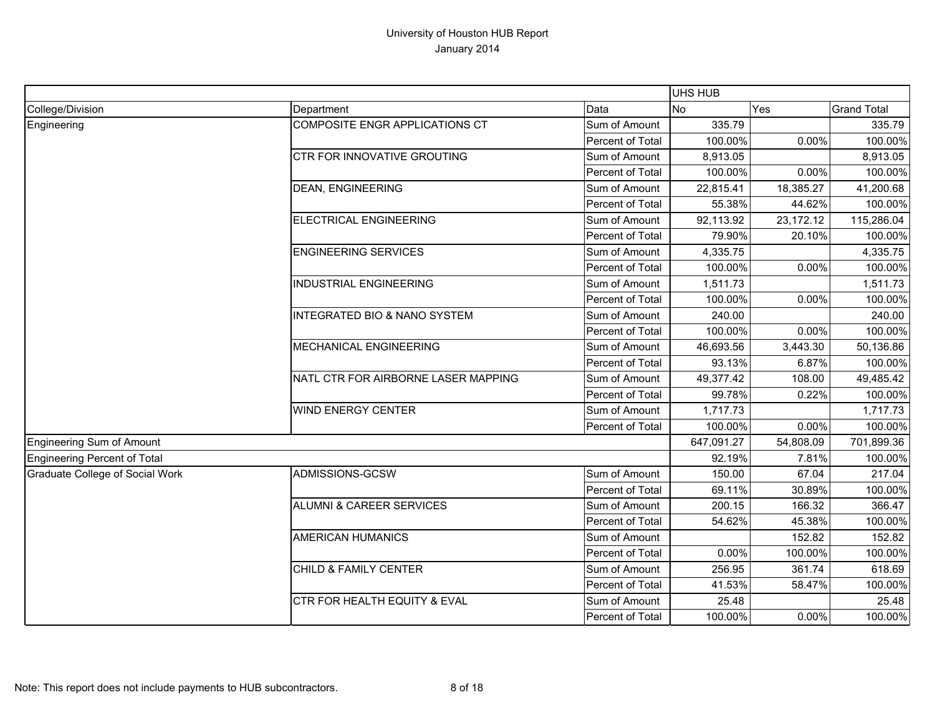|                                 |                                         |                  | <b>UHS HUB</b> |             |                    |
|---------------------------------|-----------------------------------------|------------------|----------------|-------------|--------------------|
| College/Division                | Department                              | Data             | No             | Yes         | <b>Grand Total</b> |
| Engineering                     | COMPOSITE ENGR APPLICATIONS CT          | Sum of Amount    | 335.79         |             | 335.79             |
|                                 |                                         | Percent of Total | 100.00%        | 0.00%       | 100.00%            |
|                                 | CTR FOR INNOVATIVE GROUTING             | Sum of Amount    | 8,913.05       |             | 8,913.05           |
|                                 |                                         | Percent of Total | 100.00%        | 0.00%       | 100.00%            |
|                                 | <b>DEAN, ENGINEERING</b>                | Sum of Amount    | 22,815.41      | 18,385.27   | 41,200.68          |
|                                 |                                         | Percent of Total | 55.38%         | 44.62%      | 100.00%            |
|                                 | <b>ELECTRICAL ENGINEERING</b>           | Sum of Amount    | 92,113.92      | 23, 172. 12 | 115,286.04         |
|                                 |                                         | Percent of Total | 79.90%         | 20.10%      | 100.00%            |
|                                 | <b>ENGINEERING SERVICES</b>             | Sum of Amount    | 4,335.75       |             | 4,335.75           |
|                                 |                                         | Percent of Total | 100.00%        | 0.00%       | 100.00%            |
|                                 | <b>INDUSTRIAL ENGINEERING</b>           | Sum of Amount    | 1,511.73       |             | 1,511.73           |
|                                 |                                         | Percent of Total | 100.00%        | 0.00%       | 100.00%            |
|                                 | <b>INTEGRATED BIO &amp; NANO SYSTEM</b> | Sum of Amount    | 240.00         |             | 240.00             |
|                                 |                                         | Percent of Total | 100.00%        | 0.00%       | 100.00%            |
|                                 | MECHANICAL ENGINEERING                  | Sum of Amount    | 46,693.56      | 3,443.30    | 50,136.86          |
|                                 |                                         | Percent of Total | 93.13%         | 6.87%       | 100.00%            |
|                                 | NATL CTR FOR AIRBORNE LASER MAPPING     | Sum of Amount    | 49,377.42      | 108.00      | 49,485.42          |
|                                 |                                         | Percent of Total | 99.78%         | 0.22%       | 100.00%            |
|                                 | <b>WIND ENERGY CENTER</b>               | Sum of Amount    | 1,717.73       |             | 1,717.73           |
|                                 |                                         | Percent of Total | 100.00%        | 0.00%       | 100.00%            |
| Engineering Sum of Amount       |                                         |                  | 647,091.27     | 54,808.09   | 701,899.36         |
| Engineering Percent of Total    |                                         |                  | 92.19%         | 7.81%       | 100.00%            |
| Graduate College of Social Work | ADMISSIONS-GCSW                         | Sum of Amount    | 150.00         | 67.04       | 217.04             |
|                                 |                                         | Percent of Total | 69.11%         | 30.89%      | 100.00%            |
|                                 | <b>ALUMNI &amp; CAREER SERVICES</b>     | Sum of Amount    | 200.15         | 166.32      | 366.47             |
|                                 |                                         | Percent of Total | 54.62%         | 45.38%      | 100.00%            |
|                                 | <b>AMERICAN HUMANICS</b>                | Sum of Amount    |                | 152.82      | 152.82             |
|                                 |                                         | Percent of Total | 0.00%          | 100.00%     | 100.00%            |
|                                 | CHILD & FAMILY CENTER                   | Sum of Amount    | 256.95         | 361.74      | 618.69             |
|                                 |                                         | Percent of Total | 41.53%         | 58.47%      | 100.00%            |
|                                 | CTR FOR HEALTH EQUITY & EVAL            | Sum of Amount    | 25.48          |             | 25.48              |
|                                 |                                         | Percent of Total | 100.00%        | 0.00%       | 100.00%            |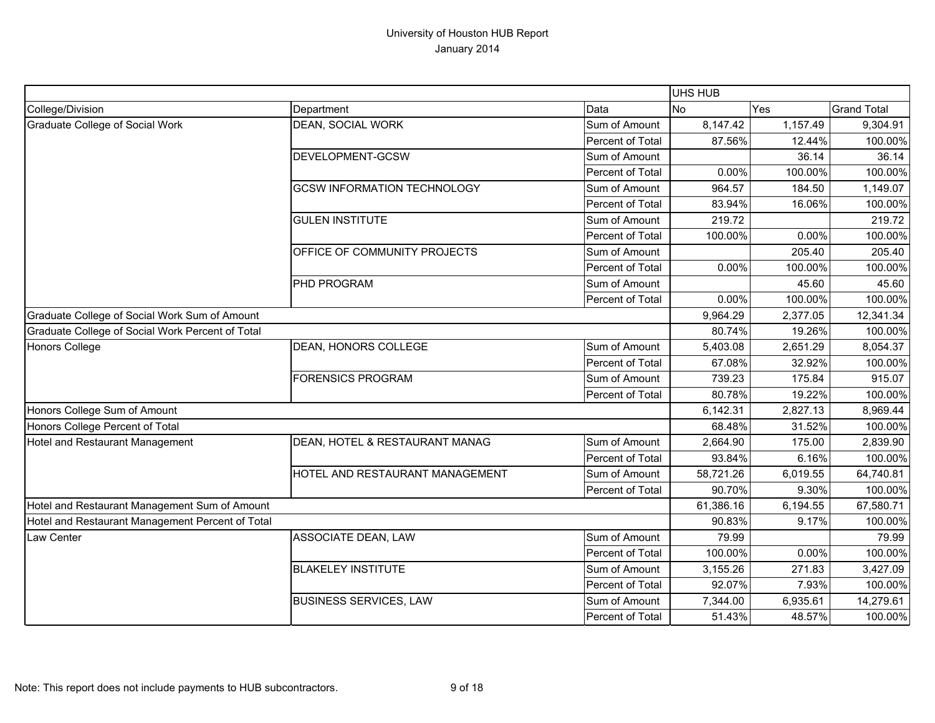|                                                  |                                        |                  | <b>UHS HUB</b> |          |                    |
|--------------------------------------------------|----------------------------------------|------------------|----------------|----------|--------------------|
| College/Division                                 | Department                             | Data             | <b>No</b>      | Yes      | <b>Grand Total</b> |
| Graduate College of Social Work                  | <b>DEAN, SOCIAL WORK</b>               | Sum of Amount    | 8,147.42       | 1,157.49 | 9,304.91           |
|                                                  |                                        | Percent of Total | 87.56%         | 12.44%   | 100.00%            |
|                                                  | DEVELOPMENT-GCSW                       | Sum of Amount    |                | 36.14    | 36.14              |
|                                                  |                                        | Percent of Total | 0.00%          | 100.00%  | 100.00%            |
|                                                  | <b>GCSW INFORMATION TECHNOLOGY</b>     | Sum of Amount    | 964.57         | 184.50   | 1,149.07           |
|                                                  |                                        | Percent of Total | 83.94%         | 16.06%   | 100.00%            |
|                                                  | <b>GULEN INSTITUTE</b>                 | Sum of Amount    | 219.72         |          | 219.72             |
|                                                  |                                        | Percent of Total | 100.00%        | 0.00%    | 100.00%            |
|                                                  | OFFICE OF COMMUNITY PROJECTS           | Sum of Amount    |                | 205.40   | 205.40             |
|                                                  |                                        | Percent of Total | 0.00%          | 100.00%  | 100.00%            |
|                                                  | PHD PROGRAM                            | Sum of Amount    |                | 45.60    | 45.60              |
|                                                  |                                        | Percent of Total | 0.00%          | 100.00%  | 100.00%            |
| Graduate College of Social Work Sum of Amount    |                                        |                  | 9,964.29       | 2,377.05 | 12,341.34          |
| Graduate College of Social Work Percent of Total |                                        |                  | 80.74%         | 19.26%   | 100.00%            |
| <b>Honors College</b>                            | <b>DEAN, HONORS COLLEGE</b>            | Sum of Amount    | 5,403.08       | 2,651.29 | 8,054.37           |
|                                                  |                                        | Percent of Total | 67.08%         | 32.92%   | 100.00%            |
|                                                  | <b>FORENSICS PROGRAM</b>               | Sum of Amount    | 739.23         | 175.84   | 915.07             |
|                                                  |                                        | Percent of Total | 80.78%         | 19.22%   | 100.00%            |
| Honors College Sum of Amount                     |                                        |                  | 6,142.31       | 2,827.13 | 8,969.44           |
| Honors College Percent of Total                  |                                        |                  | 68.48%         | 31.52%   | 100.00%            |
| Hotel and Restaurant Management                  | DEAN, HOTEL & RESTAURANT MANAG         | Sum of Amount    | 2,664.90       | 175.00   | 2,839.90           |
|                                                  |                                        | Percent of Total | 93.84%         | 6.16%    | 100.00%            |
|                                                  | <b>HOTEL AND RESTAURANT MANAGEMENT</b> | Sum of Amount    | 58,721.26      | 6,019.55 | 64,740.81          |
|                                                  |                                        | Percent of Total | 90.70%         | 9.30%    | 100.00%            |
| Hotel and Restaurant Management Sum of Amount    |                                        |                  | 61,386.16      | 6,194.55 | 67,580.71          |
| Hotel and Restaurant Management Percent of Total |                                        |                  | 90.83%         | 9.17%    | 100.00%            |
| <b>Law Center</b>                                | <b>ASSOCIATE DEAN, LAW</b>             | Sum of Amount    | 79.99          |          | 79.99              |
|                                                  |                                        | Percent of Total | 100.00%        | 0.00%    | 100.00%            |
|                                                  | <b>BLAKELEY INSTITUTE</b>              | Sum of Amount    | 3,155.26       | 271.83   | 3,427.09           |
|                                                  |                                        | Percent of Total | 92.07%         | 7.93%    | 100.00%            |
|                                                  | <b>BUSINESS SERVICES, LAW</b>          | Sum of Amount    | 7,344.00       | 6,935.61 | 14,279.61          |
|                                                  |                                        | Percent of Total | 51.43%         | 48.57%   | 100.00%            |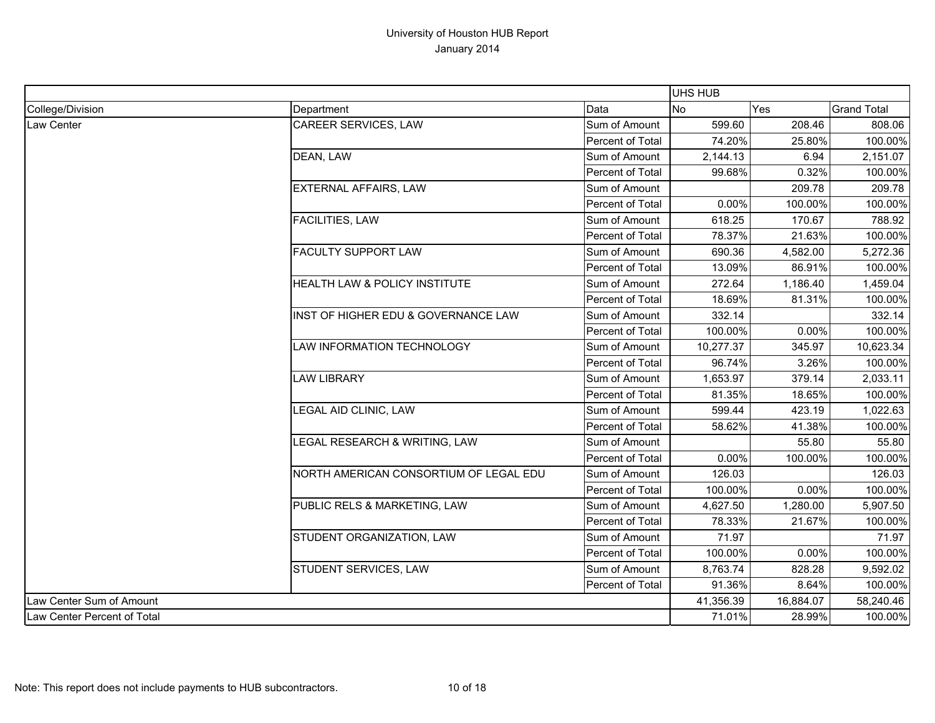|                             |                                        |                  | <b>UHS HUB</b> |           |                    |
|-----------------------------|----------------------------------------|------------------|----------------|-----------|--------------------|
| College/Division            | Department                             | Data             | <b>No</b>      | Yes       | <b>Grand Total</b> |
| Law Center                  | <b>CAREER SERVICES, LAW</b>            | Sum of Amount    | 599.60         | 208.46    | 808.06             |
|                             |                                        | Percent of Total | 74.20%         | 25.80%    | 100.00%            |
|                             | DEAN, LAW                              | Sum of Amount    | 2,144.13       | 6.94      | 2,151.07           |
|                             |                                        | Percent of Total | 99.68%         | 0.32%     | 100.00%            |
|                             | <b>EXTERNAL AFFAIRS, LAW</b>           | Sum of Amount    |                | 209.78    | 209.78             |
|                             |                                        | Percent of Total | 0.00%          | 100.00%   | 100.00%            |
|                             | FACILITIES, LAW                        | Sum of Amount    | 618.25         | 170.67    | 788.92             |
|                             |                                        | Percent of Total | 78.37%         | 21.63%    | 100.00%            |
|                             | <b>FACULTY SUPPORT LAW</b>             | Sum of Amount    | 690.36         | 4,582.00  | 5,272.36           |
|                             |                                        | Percent of Total | 13.09%         | 86.91%    | 100.00%            |
|                             | HEALTH LAW & POLICY INSTITUTE          | Sum of Amount    | 272.64         | 1,186.40  | 1,459.04           |
|                             |                                        | Percent of Total | 18.69%         | 81.31%    | 100.00%            |
|                             | INST OF HIGHER EDU & GOVERNANCE LAW    | Sum of Amount    | 332.14         |           | 332.14             |
|                             |                                        | Percent of Total | 100.00%        | 0.00%     | 100.00%            |
|                             | LAW INFORMATION TECHNOLOGY             | Sum of Amount    | 10,277.37      | 345.97    | 10,623.34          |
|                             |                                        | Percent of Total | 96.74%         | 3.26%     | 100.00%            |
|                             | <b>LAW LIBRARY</b>                     | Sum of Amount    | 1,653.97       | 379.14    | 2,033.11           |
|                             |                                        | Percent of Total | 81.35%         | 18.65%    | 100.00%            |
|                             | LEGAL AID CLINIC, LAW                  | Sum of Amount    | 599.44         | 423.19    | 1,022.63           |
|                             |                                        | Percent of Total | 58.62%         | 41.38%    | 100.00%            |
|                             | LEGAL RESEARCH & WRITING, LAW          | Sum of Amount    |                | 55.80     | 55.80              |
|                             |                                        | Percent of Total | 0.00%          | 100.00%   | 100.00%            |
|                             | NORTH AMERICAN CONSORTIUM OF LEGAL EDU | Sum of Amount    | 126.03         |           | 126.03             |
|                             |                                        | Percent of Total | 100.00%        | 0.00%     | 100.00%            |
|                             | PUBLIC RELS & MARKETING, LAW           | Sum of Amount    | 4,627.50       | 1,280.00  | 5,907.50           |
|                             |                                        | Percent of Total | 78.33%         | 21.67%    | 100.00%            |
|                             | STUDENT ORGANIZATION, LAW              | Sum of Amount    | 71.97          |           | 71.97              |
|                             |                                        | Percent of Total | 100.00%        | 0.00%     | 100.00%            |
|                             | STUDENT SERVICES, LAW                  | Sum of Amount    | 8,763.74       | 828.28    | 9,592.02           |
|                             |                                        | Percent of Total | 91.36%         | 8.64%     | 100.00%            |
| Law Center Sum of Amount    |                                        |                  | 41,356.39      | 16,884.07 | 58,240.46          |
| Law Center Percent of Total |                                        |                  | 71.01%         | 28.99%    | 100.00%            |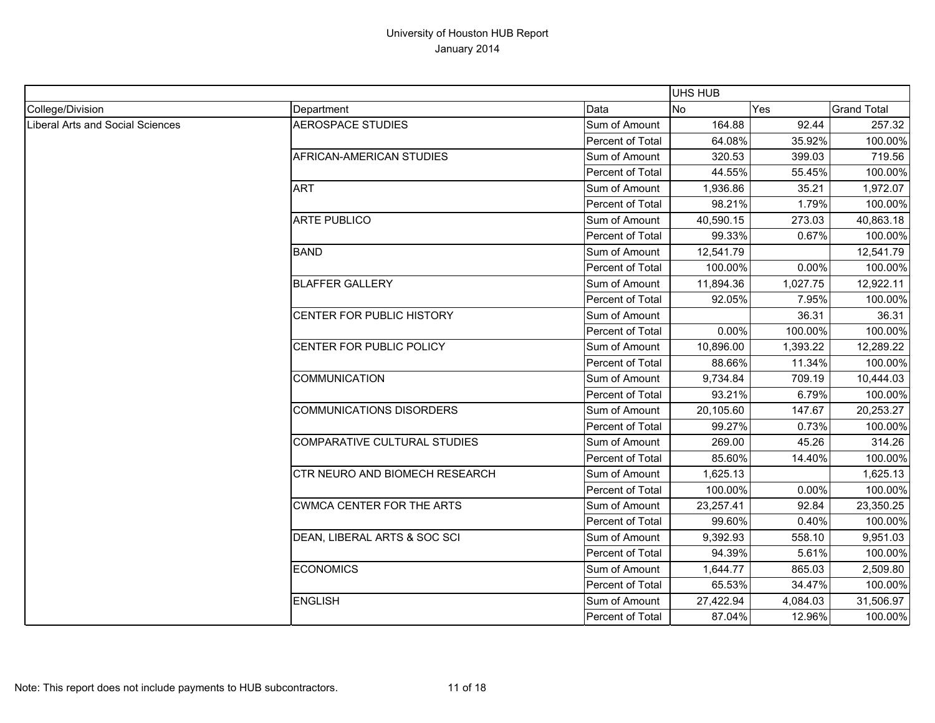|                                         |                                     |                  | <b>UHS HUB</b> |          |                    |
|-----------------------------------------|-------------------------------------|------------------|----------------|----------|--------------------|
| College/Division                        | Department                          | Data             | <b>No</b>      | Yes      | <b>Grand Total</b> |
| <b>Liberal Arts and Social Sciences</b> | <b>AEROSPACE STUDIES</b>            | Sum of Amount    | 164.88         | 92.44    | 257.32             |
|                                         |                                     | Percent of Total | 64.08%         | 35.92%   | 100.00%            |
|                                         | AFRICAN-AMERICAN STUDIES            | Sum of Amount    | 320.53         | 399.03   | 719.56             |
|                                         |                                     | Percent of Total | 44.55%         | 55.45%   | 100.00%            |
|                                         | <b>ART</b>                          | Sum of Amount    | 1,936.86       | 35.21    | 1,972.07           |
|                                         |                                     | Percent of Total | 98.21%         | 1.79%    | 100.00%            |
|                                         | <b>ARTE PUBLICO</b>                 | Sum of Amount    | 40,590.15      | 273.03   | 40,863.18          |
|                                         |                                     | Percent of Total | 99.33%         | 0.67%    | 100.00%            |
|                                         | <b>BAND</b>                         | Sum of Amount    | 12,541.79      |          | 12,541.79          |
|                                         |                                     | Percent of Total | 100.00%        | 0.00%    | 100.00%            |
|                                         | <b>BLAFFER GALLERY</b>              | Sum of Amount    | 11,894.36      | 1,027.75 | 12,922.11          |
|                                         |                                     | Percent of Total | 92.05%         | 7.95%    | 100.00%            |
|                                         | CENTER FOR PUBLIC HISTORY           | Sum of Amount    |                | 36.31    | 36.31              |
|                                         |                                     | Percent of Total | 0.00%          | 100.00%  | 100.00%            |
|                                         | CENTER FOR PUBLIC POLICY            | Sum of Amount    | 10,896.00      | 1,393.22 | 12,289.22          |
|                                         |                                     | Percent of Total | 88.66%         | 11.34%   | 100.00%            |
|                                         | <b>COMMUNICATION</b>                | Sum of Amount    | 9,734.84       | 709.19   | 10,444.03          |
|                                         |                                     | Percent of Total | 93.21%         | 6.79%    | 100.00%            |
|                                         | <b>COMMUNICATIONS DISORDERS</b>     | Sum of Amount    | 20,105.60      | 147.67   | 20,253.27          |
|                                         |                                     | Percent of Total | 99.27%         | 0.73%    | 100.00%            |
|                                         | <b>COMPARATIVE CULTURAL STUDIES</b> | Sum of Amount    | 269.00         | 45.26    | 314.26             |
|                                         |                                     | Percent of Total | 85.60%         | 14.40%   | 100.00%            |
|                                         | CTR NEURO AND BIOMECH RESEARCH      | Sum of Amount    | 1,625.13       |          | 1,625.13           |
|                                         |                                     | Percent of Total | 100.00%        | 0.00%    | 100.00%            |
|                                         | <b>CWMCA CENTER FOR THE ARTS</b>    | Sum of Amount    | 23,257.41      | 92.84    | 23,350.25          |
|                                         |                                     | Percent of Total | 99.60%         | 0.40%    | 100.00%            |
|                                         | DEAN, LIBERAL ARTS & SOC SCI        | Sum of Amount    | 9,392.93       | 558.10   | 9,951.03           |
|                                         |                                     | Percent of Total | 94.39%         | 5.61%    | 100.00%            |
|                                         | <b>ECONOMICS</b>                    | Sum of Amount    | 1,644.77       | 865.03   | 2,509.80           |
|                                         |                                     | Percent of Total | 65.53%         | 34.47%   | 100.00%            |
|                                         | <b>ENGLISH</b>                      | Sum of Amount    | 27,422.94      | 4,084.03 | 31,506.97          |
|                                         |                                     | Percent of Total | 87.04%         | 12.96%   | 100.00%            |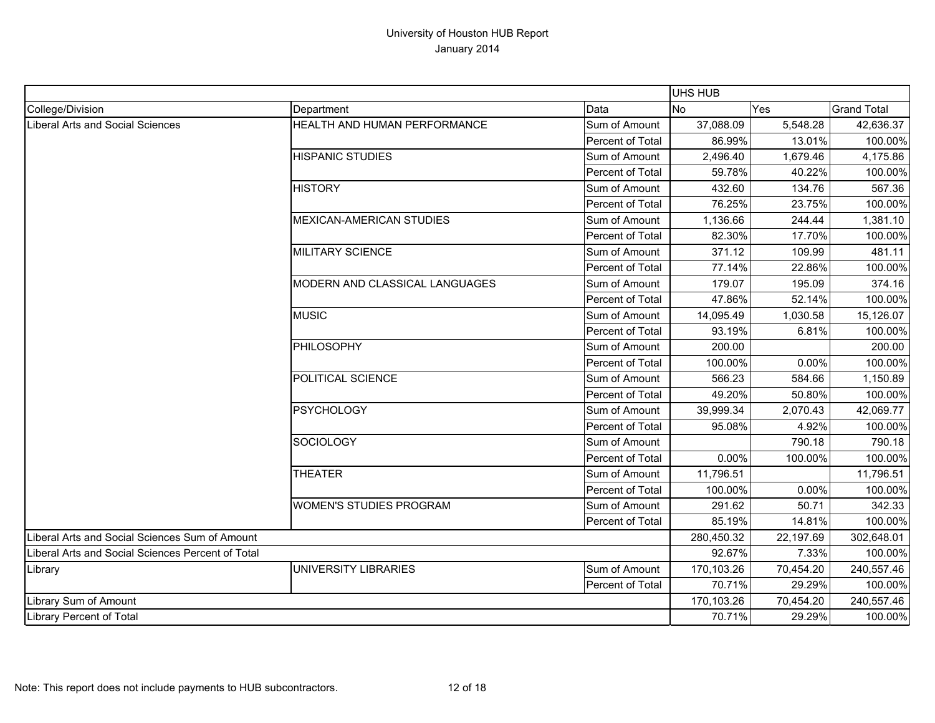|                                                   |                                |                  | UHS HUB    |           |                    |
|---------------------------------------------------|--------------------------------|------------------|------------|-----------|--------------------|
| College/Division                                  | Department                     | Data             | <b>No</b>  | Yes       | <b>Grand Total</b> |
| Liberal Arts and Social Sciences                  | HEALTH AND HUMAN PERFORMANCE   | Sum of Amount    | 37,088.09  | 5,548.28  | 42,636.37          |
|                                                   |                                | Percent of Total | 86.99%     | 13.01%    | 100.00%            |
|                                                   | <b>HISPANIC STUDIES</b>        | Sum of Amount    | 2,496.40   | 1,679.46  | 4,175.86           |
|                                                   |                                | Percent of Total | 59.78%     | 40.22%    | 100.00%            |
|                                                   | <b>HISTORY</b>                 | Sum of Amount    | 432.60     | 134.76    | 567.36             |
|                                                   |                                | Percent of Total | 76.25%     | 23.75%    | 100.00%            |
|                                                   | MEXICAN-AMERICAN STUDIES       | Sum of Amount    | 1,136.66   | 244.44    | 1,381.10           |
|                                                   |                                | Percent of Total | 82.30%     | 17.70%    | 100.00%            |
|                                                   | <b>MILITARY SCIENCE</b>        | Sum of Amount    | 371.12     | 109.99    | 481.11             |
|                                                   |                                | Percent of Total | 77.14%     | 22.86%    | 100.00%            |
|                                                   | MODERN AND CLASSICAL LANGUAGES | Sum of Amount    | 179.07     | 195.09    | 374.16             |
|                                                   |                                | Percent of Total | 47.86%     | 52.14%    | 100.00%            |
|                                                   | <b>MUSIC</b>                   | Sum of Amount    | 14,095.49  | 1,030.58  | 15,126.07          |
|                                                   |                                | Percent of Total | 93.19%     | 6.81%     | 100.00%            |
|                                                   | <b>PHILOSOPHY</b>              | Sum of Amount    | 200.00     |           | 200.00             |
|                                                   |                                | Percent of Total | 100.00%    | 0.00%     | 100.00%            |
|                                                   | POLITICAL SCIENCE              | Sum of Amount    | 566.23     | 584.66    | 1,150.89           |
|                                                   |                                | Percent of Total | 49.20%     | 50.80%    | 100.00%            |
|                                                   | <b>PSYCHOLOGY</b>              | Sum of Amount    | 39,999.34  | 2,070.43  | 42,069.77          |
|                                                   |                                | Percent of Total | 95.08%     | 4.92%     | 100.00%            |
|                                                   | <b>SOCIOLOGY</b>               | Sum of Amount    |            | 790.18    | 790.18             |
|                                                   |                                | Percent of Total | 0.00%      | 100.00%   | 100.00%            |
|                                                   | <b>THEATER</b>                 | Sum of Amount    | 11,796.51  |           | 11,796.51          |
|                                                   |                                | Percent of Total | 100.00%    | 0.00%     | 100.00%            |
|                                                   | WOMEN'S STUDIES PROGRAM        | Sum of Amount    | 291.62     | 50.71     | 342.33             |
|                                                   |                                | Percent of Total | 85.19%     | 14.81%    | 100.00%            |
| Liberal Arts and Social Sciences Sum of Amount    |                                |                  | 280,450.32 | 22,197.69 | 302,648.01         |
| Liberal Arts and Social Sciences Percent of Total |                                | 92.67%           | 7.33%      | 100.00%   |                    |
| Library                                           | <b>UNIVERSITY LIBRARIES</b>    | Sum of Amount    | 170,103.26 | 70,454.20 | 240,557.46         |
|                                                   |                                | Percent of Total | 70.71%     | 29.29%    | 100.00%            |
| Library Sum of Amount                             |                                |                  | 170,103.26 | 70,454.20 | 240,557.46         |
| Library Percent of Total                          |                                |                  | 70.71%     | 29.29%    | 100.00%            |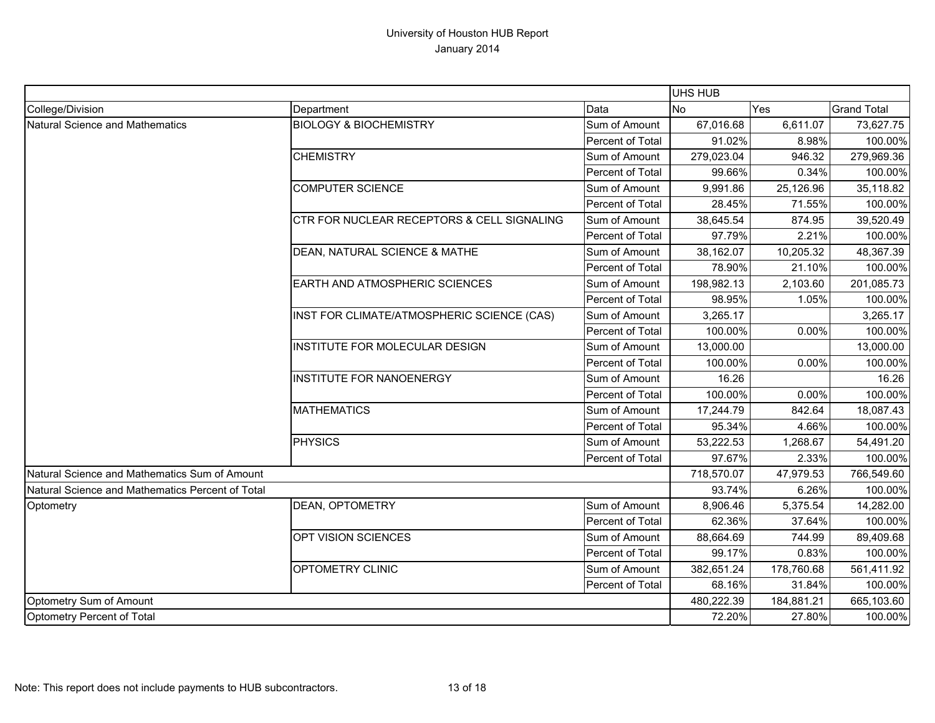|                                                  |                                            |                  | <b>UHS HUB</b> |            |                    |
|--------------------------------------------------|--------------------------------------------|------------------|----------------|------------|--------------------|
| College/Division                                 | Department                                 | Data             | <b>No</b>      | Yes        | <b>Grand Total</b> |
| Natural Science and Mathematics                  | <b>BIOLOGY &amp; BIOCHEMISTRY</b>          | Sum of Amount    | 67,016.68      | 6,611.07   | 73,627.75          |
|                                                  |                                            | Percent of Total | 91.02%         | 8.98%      | 100.00%            |
|                                                  | <b>CHEMISTRY</b>                           | Sum of Amount    | 279,023.04     | 946.32     | 279,969.36         |
|                                                  |                                            | Percent of Total | 99.66%         | 0.34%      | 100.00%            |
|                                                  | <b>COMPUTER SCIENCE</b>                    | Sum of Amount    | 9,991.86       | 25,126.96  | 35,118.82          |
|                                                  |                                            | Percent of Total | 28.45%         | 71.55%     | 100.00%            |
|                                                  | CTR FOR NUCLEAR RECEPTORS & CELL SIGNALING | Sum of Amount    | 38,645.54      | 874.95     | 39,520.49          |
|                                                  |                                            | Percent of Total | 97.79%         | 2.21%      | 100.00%            |
|                                                  | DEAN, NATURAL SCIENCE & MATHE              | Sum of Amount    | 38,162.07      | 10,205.32  | 48,367.39          |
|                                                  |                                            | Percent of Total | 78.90%         | 21.10%     | 100.00%            |
|                                                  | EARTH AND ATMOSPHERIC SCIENCES             | Sum of Amount    | 198,982.13     | 2,103.60   | 201,085.73         |
|                                                  |                                            | Percent of Total | 98.95%         | 1.05%      | 100.00%            |
|                                                  | INST FOR CLIMATE/ATMOSPHERIC SCIENCE (CAS) | Sum of Amount    | 3,265.17       |            | 3,265.17           |
|                                                  |                                            | Percent of Total | 100.00%        | 0.00%      | 100.00%            |
|                                                  | INSTITUTE FOR MOLECULAR DESIGN             | Sum of Amount    | 13,000.00      |            | 13,000.00          |
|                                                  |                                            | Percent of Total | 100.00%        | 0.00%      | 100.00%            |
|                                                  | <b>INSTITUTE FOR NANOENERGY</b>            | Sum of Amount    | 16.26          |            | 16.26              |
|                                                  |                                            | Percent of Total | 100.00%        | 0.00%      | 100.00%            |
|                                                  | <b>MATHEMATICS</b>                         | Sum of Amount    | 17,244.79      | 842.64     | 18,087.43          |
|                                                  |                                            | Percent of Total | 95.34%         | 4.66%      | 100.00%            |
|                                                  | PHYSICS                                    | Sum of Amount    | 53,222.53      | 1,268.67   | 54,491.20          |
|                                                  |                                            | Percent of Total | 97.67%         | 2.33%      | 100.00%            |
| Natural Science and Mathematics Sum of Amount    |                                            |                  | 718,570.07     | 47,979.53  | 766,549.60         |
| Natural Science and Mathematics Percent of Total |                                            |                  | 93.74%         | 6.26%      | 100.00%            |
| Optometry                                        | <b>DEAN, OPTOMETRY</b>                     | Sum of Amount    | 8,906.46       | 5,375.54   | 14,282.00          |
|                                                  |                                            | Percent of Total | 62.36%         | 37.64%     | 100.00%            |
|                                                  | OPT VISION SCIENCES                        | Sum of Amount    | 88,664.69      | 744.99     | 89,409.68          |
|                                                  |                                            | Percent of Total | 99.17%         | 0.83%      | 100.00%            |
|                                                  | OPTOMETRY CLINIC                           | Sum of Amount    | 382,651.24     | 178,760.68 | 561,411.92         |
|                                                  |                                            | Percent of Total | 68.16%         | 31.84%     | 100.00%            |
| Optometry Sum of Amount                          |                                            |                  | 480,222.39     | 184,881.21 | 665,103.60         |
| Optometry Percent of Total                       |                                            |                  | 72.20%         | 27.80%     | 100.00%            |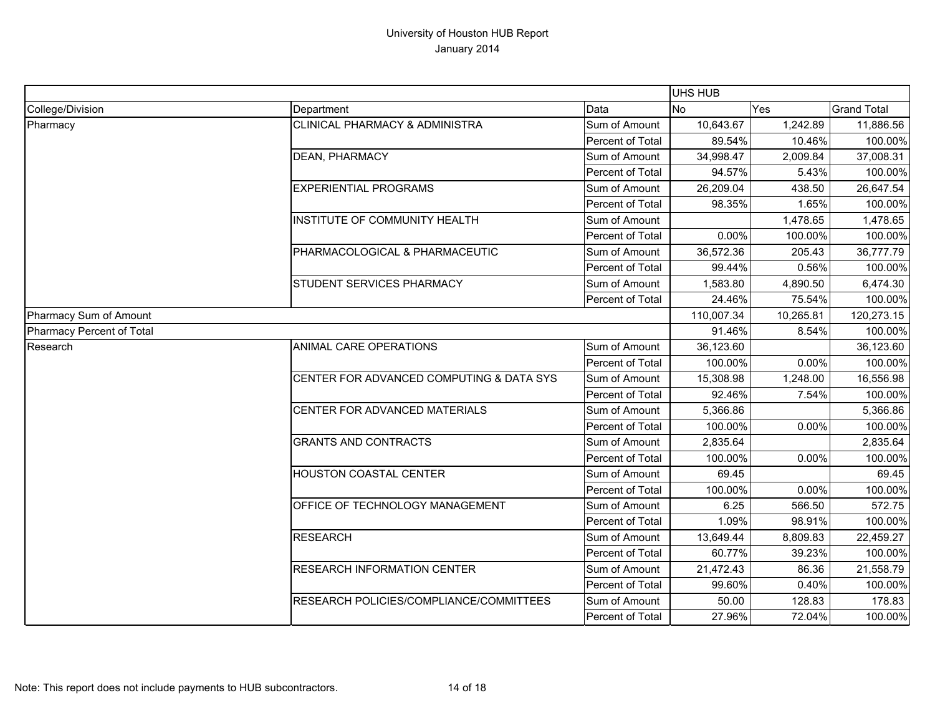|                           |                                           |                  | UHS HUB    |           |                    |
|---------------------------|-------------------------------------------|------------------|------------|-----------|--------------------|
| College/Division          | Department                                | Data             | <b>No</b>  | Yes       | <b>Grand Total</b> |
| Pharmacy                  | <b>CLINICAL PHARMACY &amp; ADMINISTRA</b> | Sum of Amount    | 10,643.67  | 1,242.89  | 11,886.56          |
|                           |                                           | Percent of Total | 89.54%     | 10.46%    | 100.00%            |
|                           | <b>DEAN, PHARMACY</b>                     | Sum of Amount    | 34,998.47  | 2,009.84  | 37,008.31          |
|                           |                                           | Percent of Total | 94.57%     | 5.43%     | 100.00%            |
|                           | <b>EXPERIENTIAL PROGRAMS</b>              | Sum of Amount    | 26,209.04  | 438.50    | 26,647.54          |
|                           |                                           | Percent of Total | 98.35%     | 1.65%     | 100.00%            |
|                           | INSTITUTE OF COMMUNITY HEALTH             | Sum of Amount    |            | 1,478.65  | 1,478.65           |
|                           |                                           | Percent of Total | 0.00%      | 100.00%   | 100.00%            |
|                           | PHARMACOLOGICAL & PHARMACEUTIC            | Sum of Amount    | 36,572.36  | 205.43    | 36,777.79          |
|                           |                                           | Percent of Total | 99.44%     | 0.56%     | 100.00%            |
|                           | <b>STUDENT SERVICES PHARMACY</b>          | Sum of Amount    | 1,583.80   | 4,890.50  | 6,474.30           |
|                           |                                           | Percent of Total | 24.46%     | 75.54%    | 100.00%            |
| Pharmacy Sum of Amount    |                                           |                  | 110,007.34 | 10,265.81 | 120,273.15         |
| Pharmacy Percent of Total |                                           |                  | 91.46%     | 8.54%     | 100.00%            |
| Research                  | <b>ANIMAL CARE OPERATIONS</b>             | Sum of Amount    | 36,123.60  |           | 36,123.60          |
|                           |                                           | Percent of Total | 100.00%    | 0.00%     | 100.00%            |
|                           | CENTER FOR ADVANCED COMPUTING & DATA SYS  | Sum of Amount    | 15,308.98  | 1,248.00  | 16,556.98          |
|                           |                                           | Percent of Total | 92.46%     | 7.54%     | 100.00%            |
|                           | CENTER FOR ADVANCED MATERIALS             | Sum of Amount    | 5,366.86   |           | 5,366.86           |
|                           |                                           | Percent of Total | 100.00%    | 0.00%     | 100.00%            |
|                           | <b>GRANTS AND CONTRACTS</b>               | Sum of Amount    | 2,835.64   |           | 2,835.64           |
|                           |                                           | Percent of Total | 100.00%    | 0.00%     | 100.00%            |
|                           | <b>HOUSTON COASTAL CENTER</b>             | Sum of Amount    | 69.45      |           | 69.45              |
|                           |                                           | Percent of Total | 100.00%    | 0.00%     | 100.00%            |
|                           | OFFICE OF TECHNOLOGY MANAGEMENT           | Sum of Amount    | 6.25       | 566.50    | 572.75             |
|                           |                                           | Percent of Total | 1.09%      | 98.91%    | 100.00%            |
|                           | <b>RESEARCH</b>                           | Sum of Amount    | 13,649.44  | 8,809.83  | 22,459.27          |
|                           |                                           | Percent of Total | 60.77%     | 39.23%    | 100.00%            |
|                           | <b>RESEARCH INFORMATION CENTER</b>        | Sum of Amount    | 21,472.43  | 86.36     | 21,558.79          |
|                           |                                           | Percent of Total | 99.60%     | 0.40%     | 100.00%            |
|                           | RESEARCH POLICIES/COMPLIANCE/COMMITTEES   | Sum of Amount    | 50.00      | 128.83    | 178.83             |
|                           |                                           | Percent of Total | 27.96%     | 72.04%    | 100.00%            |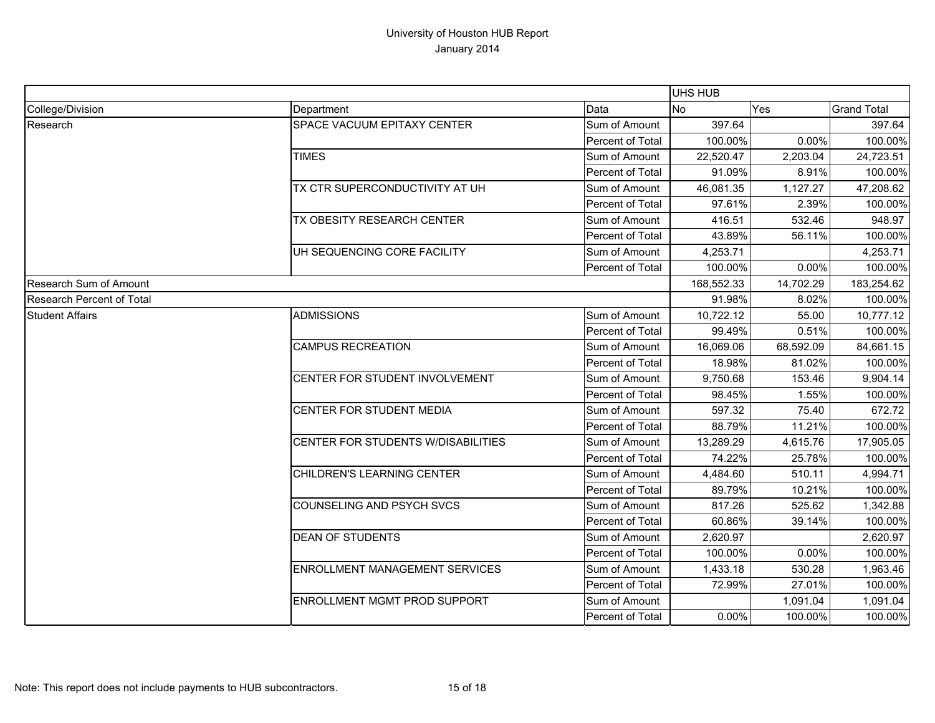|                                  |                                       |                  | UHS HUB    |           |                    |
|----------------------------------|---------------------------------------|------------------|------------|-----------|--------------------|
| College/Division                 | Department                            | Data             | <b>No</b>  | Yes       | <b>Grand Total</b> |
| Research                         | SPACE VACUUM EPITAXY CENTER           | Sum of Amount    | 397.64     |           | 397.64             |
|                                  |                                       | Percent of Total | 100.00%    | 0.00%     | 100.00%            |
|                                  | <b>TIMES</b>                          | Sum of Amount    | 22,520.47  | 2,203.04  | 24,723.51          |
|                                  |                                       | Percent of Total | 91.09%     | 8.91%     | 100.00%            |
|                                  | <b>TX CTR SUPERCONDUCTIVITY AT UH</b> | Sum of Amount    | 46,081.35  | 1,127.27  | 47,208.62          |
|                                  |                                       | Percent of Total | 97.61%     | 2.39%     | 100.00%            |
|                                  | TX OBESITY RESEARCH CENTER            | Sum of Amount    | 416.51     | 532.46    | 948.97             |
|                                  |                                       | Percent of Total | 43.89%     | 56.11%    | 100.00%            |
|                                  | UH SEQUENCING CORE FACILITY           | Sum of Amount    | 4,253.71   |           | 4,253.71           |
|                                  |                                       | Percent of Total | 100.00%    | 0.00%     | 100.00%            |
| Research Sum of Amount           |                                       |                  | 168,552.33 | 14,702.29 | 183,254.62         |
| <b>Research Percent of Total</b> |                                       |                  | 91.98%     | 8.02%     | 100.00%            |
| <b>Student Affairs</b>           | ADMISSIONS                            | Sum of Amount    | 10,722.12  | 55.00     | 10,777.12          |
|                                  |                                       | Percent of Total | 99.49%     | 0.51%     | 100.00%            |
|                                  | <b>CAMPUS RECREATION</b>              | Sum of Amount    | 16,069.06  | 68,592.09 | 84,661.15          |
|                                  |                                       | Percent of Total | 18.98%     | 81.02%    | 100.00%            |
|                                  | CENTER FOR STUDENT INVOLVEMENT        | Sum of Amount    | 9,750.68   | 153.46    | 9,904.14           |
|                                  |                                       | Percent of Total | 98.45%     | 1.55%     | 100.00%            |
|                                  | CENTER FOR STUDENT MEDIA              | Sum of Amount    | 597.32     | 75.40     | 672.72             |
|                                  |                                       | Percent of Total | 88.79%     | 11.21%    | 100.00%            |
|                                  | CENTER FOR STUDENTS W/DISABILITIES    | Sum of Amount    | 13,289.29  | 4,615.76  | 17,905.05          |
|                                  |                                       | Percent of Total | 74.22%     | 25.78%    | 100.00%            |
|                                  | CHILDREN'S LEARNING CENTER            | Sum of Amount    | 4,484.60   | 510.11    | 4,994.71           |
|                                  |                                       | Percent of Total | 89.79%     | 10.21%    | 100.00%            |
|                                  | COUNSELING AND PSYCH SVCS             | Sum of Amount    | 817.26     | 525.62    | 1,342.88           |
|                                  |                                       | Percent of Total | 60.86%     | 39.14%    | 100.00%            |
|                                  | <b>DEAN OF STUDENTS</b>               | Sum of Amount    | 2,620.97   |           | 2,620.97           |
|                                  |                                       | Percent of Total | 100.00%    | 0.00%     | 100.00%            |
|                                  | <b>ENROLLMENT MANAGEMENT SERVICES</b> | Sum of Amount    | 1,433.18   | 530.28    | 1,963.46           |
|                                  |                                       | Percent of Total | 72.99%     | 27.01%    | 100.00%            |
|                                  | <b>ENROLLMENT MGMT PROD SUPPORT</b>   | Sum of Amount    |            | 1,091.04  | 1,091.04           |
|                                  |                                       | Percent of Total | 0.00%      | 100.00%   | 100.00%            |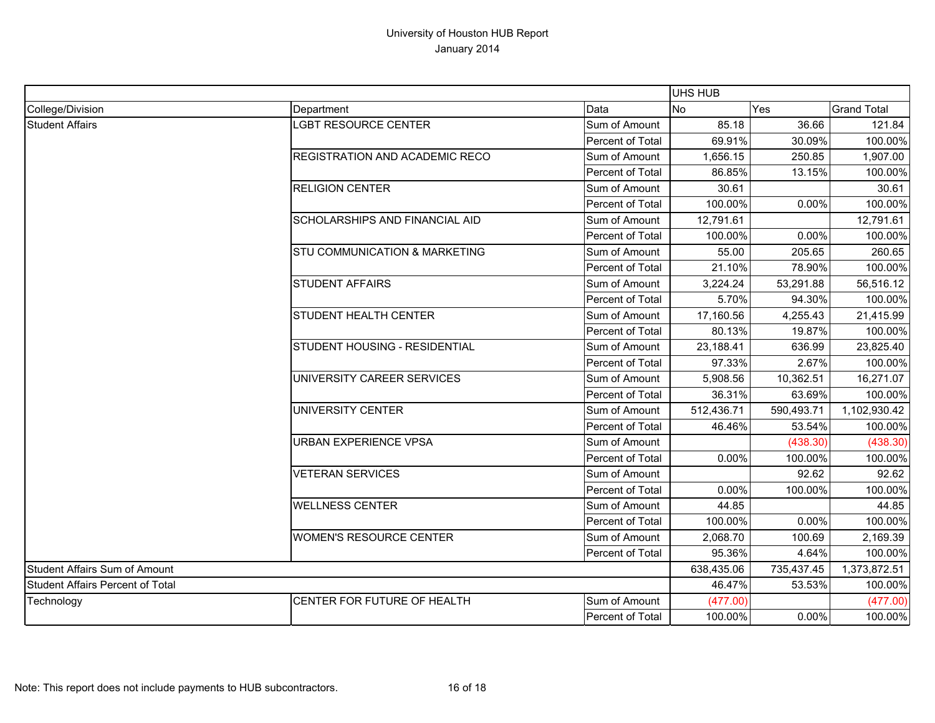|                                         |                                |                  | <b>UHS HUB</b> |            |                    |
|-----------------------------------------|--------------------------------|------------------|----------------|------------|--------------------|
| College/Division                        | Department                     | Data             | <b>No</b>      | Yes        | <b>Grand Total</b> |
| <b>Student Affairs</b>                  | <b>LGBT RESOURCE CENTER</b>    | Sum of Amount    | 85.18          | 36.66      | 121.84             |
|                                         |                                | Percent of Total | 69.91%         | 30.09%     | 100.00%            |
|                                         | REGISTRATION AND ACADEMIC RECO | Sum of Amount    | 1,656.15       | 250.85     | 1,907.00           |
|                                         |                                | Percent of Total | 86.85%         | 13.15%     | 100.00%            |
|                                         | <b>RELIGION CENTER</b>         | Sum of Amount    | 30.61          |            | 30.61              |
|                                         |                                | Percent of Total | 100.00%        | 0.00%      | 100.00%            |
|                                         | SCHOLARSHIPS AND FINANCIAL AID | Sum of Amount    | 12,791.61      |            | 12,791.61          |
|                                         |                                | Percent of Total | 100.00%        | 0.00%      | 100.00%            |
|                                         | STU COMMUNICATION & MARKETING  | Sum of Amount    | 55.00          | 205.65     | 260.65             |
|                                         |                                | Percent of Total | 21.10%         | 78.90%     | 100.00%            |
|                                         | <b>STUDENT AFFAIRS</b>         | Sum of Amount    | 3,224.24       | 53,291.88  | 56,516.12          |
|                                         |                                | Percent of Total | 5.70%          | 94.30%     | 100.00%            |
|                                         | STUDENT HEALTH CENTER          | Sum of Amount    | 17,160.56      | 4,255.43   | 21,415.99          |
|                                         |                                | Percent of Total | 80.13%         | 19.87%     | 100.00%            |
|                                         | STUDENT HOUSING - RESIDENTIAL  | Sum of Amount    | 23,188.41      | 636.99     | 23,825.40          |
|                                         |                                | Percent of Total | 97.33%         | 2.67%      | 100.00%            |
|                                         | UNIVERSITY CAREER SERVICES     | Sum of Amount    | 5,908.56       | 10,362.51  | 16,271.07          |
|                                         |                                | Percent of Total | 36.31%         | 63.69%     | 100.00%            |
|                                         | UNIVERSITY CENTER              | Sum of Amount    | 512,436.71     | 590,493.71 | 1,102,930.42       |
|                                         |                                | Percent of Total | 46.46%         | 53.54%     | 100.00%            |
|                                         | URBAN EXPERIENCE VPSA          | Sum of Amount    |                | (438.30)   | (438.30)           |
|                                         |                                | Percent of Total | 0.00%          | 100.00%    | 100.00%            |
|                                         | <b>VETERAN SERVICES</b>        | Sum of Amount    |                | 92.62      | 92.62              |
|                                         |                                | Percent of Total | 0.00%          | 100.00%    | 100.00%            |
|                                         | <b>WELLNESS CENTER</b>         | Sum of Amount    | 44.85          |            | 44.85              |
|                                         |                                | Percent of Total | 100.00%        | 0.00%      | 100.00%            |
|                                         | <b>WOMEN'S RESOURCE CENTER</b> | Sum of Amount    | 2,068.70       | 100.69     | 2,169.39           |
|                                         |                                | Percent of Total | 95.36%         | 4.64%      | 100.00%            |
| <b>Student Affairs Sum of Amount</b>    |                                |                  | 638,435.06     | 735,437.45 | 1,373,872.51       |
| <b>Student Affairs Percent of Total</b> |                                |                  | 46.47%         | 53.53%     | 100.00%            |
| Technology                              | CENTER FOR FUTURE OF HEALTH    | Sum of Amount    | (477.00)       |            | (477.00)           |
|                                         |                                | Percent of Total | 100.00%        | 0.00%      | 100.00%            |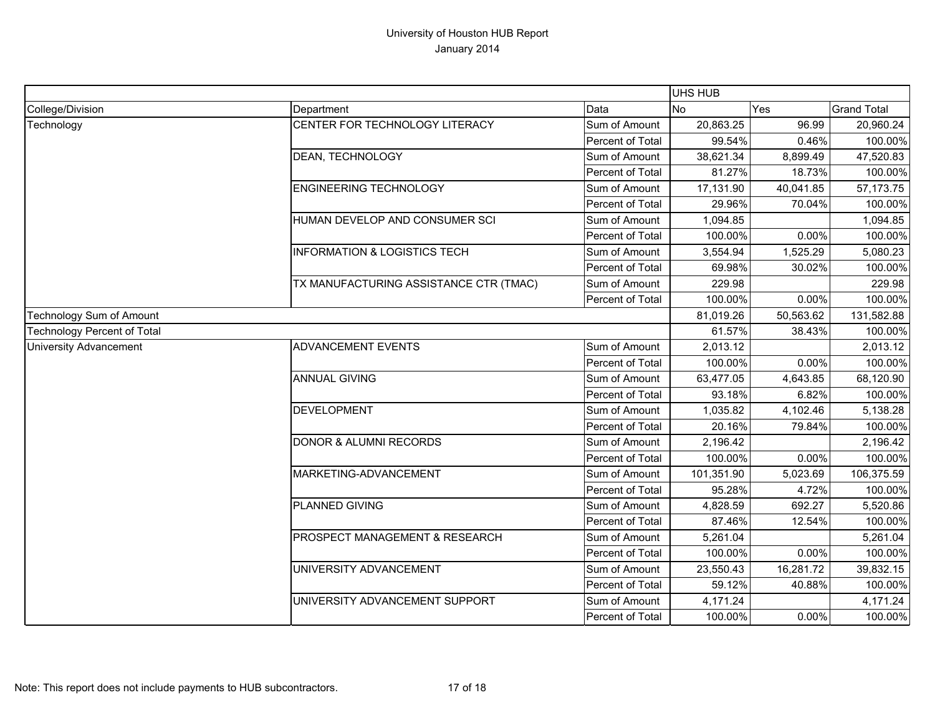|                                    |                                         |                  | <b>UHS HUB</b> |           |                    |
|------------------------------------|-----------------------------------------|------------------|----------------|-----------|--------------------|
| College/Division                   | Department                              | Data             | <b>No</b>      | Yes       | <b>Grand Total</b> |
| Technology                         | CENTER FOR TECHNOLOGY LITERACY          | Sum of Amount    | 20,863.25      | 96.99     | 20,960.24          |
|                                    |                                         | Percent of Total | 99.54%         | 0.46%     | 100.00%            |
|                                    | <b>DEAN, TECHNOLOGY</b>                 | Sum of Amount    | 38,621.34      | 8,899.49  | 47,520.83          |
|                                    |                                         | Percent of Total | 81.27%         | 18.73%    | 100.00%            |
|                                    | <b>ENGINEERING TECHNOLOGY</b>           | Sum of Amount    | 17,131.90      | 40,041.85 | 57, 173. 75        |
|                                    |                                         | Percent of Total | 29.96%         | 70.04%    | 100.00%            |
|                                    | HUMAN DEVELOP AND CONSUMER SCI          | Sum of Amount    | 1,094.85       |           | 1,094.85           |
|                                    |                                         | Percent of Total | 100.00%        | 0.00%     | 100.00%            |
|                                    | <b>INFORMATION &amp; LOGISTICS TECH</b> | Sum of Amount    | 3,554.94       | 1,525.29  | 5,080.23           |
|                                    |                                         | Percent of Total | 69.98%         | 30.02%    | 100.00%            |
|                                    | TX MANUFACTURING ASSISTANCE CTR (TMAC)  | Sum of Amount    | 229.98         |           | 229.98             |
|                                    |                                         | Percent of Total | 100.00%        | 0.00%     | 100.00%            |
| Technology Sum of Amount           |                                         |                  | 81,019.26      | 50,563.62 | 131,582.88         |
| <b>Technology Percent of Total</b> |                                         |                  | 61.57%         | 38.43%    | 100.00%            |
| <b>University Advancement</b>      | <b>ADVANCEMENT EVENTS</b>               | Sum of Amount    | 2,013.12       |           | 2,013.12           |
|                                    |                                         | Percent of Total | 100.00%        | 0.00%     | 100.00%            |
|                                    | <b>ANNUAL GIVING</b>                    | Sum of Amount    | 63,477.05      | 4,643.85  | 68,120.90          |
|                                    |                                         | Percent of Total | 93.18%         | 6.82%     | 100.00%            |
|                                    | <b>DEVELOPMENT</b>                      | Sum of Amount    | 1,035.82       | 4,102.46  | 5,138.28           |
|                                    |                                         | Percent of Total | 20.16%         | 79.84%    | 100.00%            |
|                                    | DONOR & ALUMNI RECORDS                  | Sum of Amount    | 2,196.42       |           | 2,196.42           |
|                                    |                                         | Percent of Total | 100.00%        | 0.00%     | 100.00%            |
|                                    | MARKETING-ADVANCEMENT                   | Sum of Amount    | 101,351.90     | 5,023.69  | 106,375.59         |
|                                    |                                         | Percent of Total | 95.28%         | 4.72%     | 100.00%            |
|                                    | PLANNED GIVING                          | Sum of Amount    | 4,828.59       | 692.27    | 5,520.86           |
|                                    |                                         | Percent of Total | 87.46%         | 12.54%    | 100.00%            |
|                                    | PROSPECT MANAGEMENT & RESEARCH          | Sum of Amount    | 5,261.04       |           | 5,261.04           |
|                                    |                                         | Percent of Total | 100.00%        | 0.00%     | 100.00%            |
|                                    | UNIVERSITY ADVANCEMENT                  | Sum of Amount    | 23,550.43      | 16,281.72 | 39,832.15          |
|                                    |                                         | Percent of Total | 59.12%         | 40.88%    | 100.00%            |
|                                    | UNIVERSITY ADVANCEMENT SUPPORT          | Sum of Amount    | 4,171.24       |           | 4,171.24           |
|                                    |                                         | Percent of Total | 100.00%        | 0.00%     | 100.00%            |